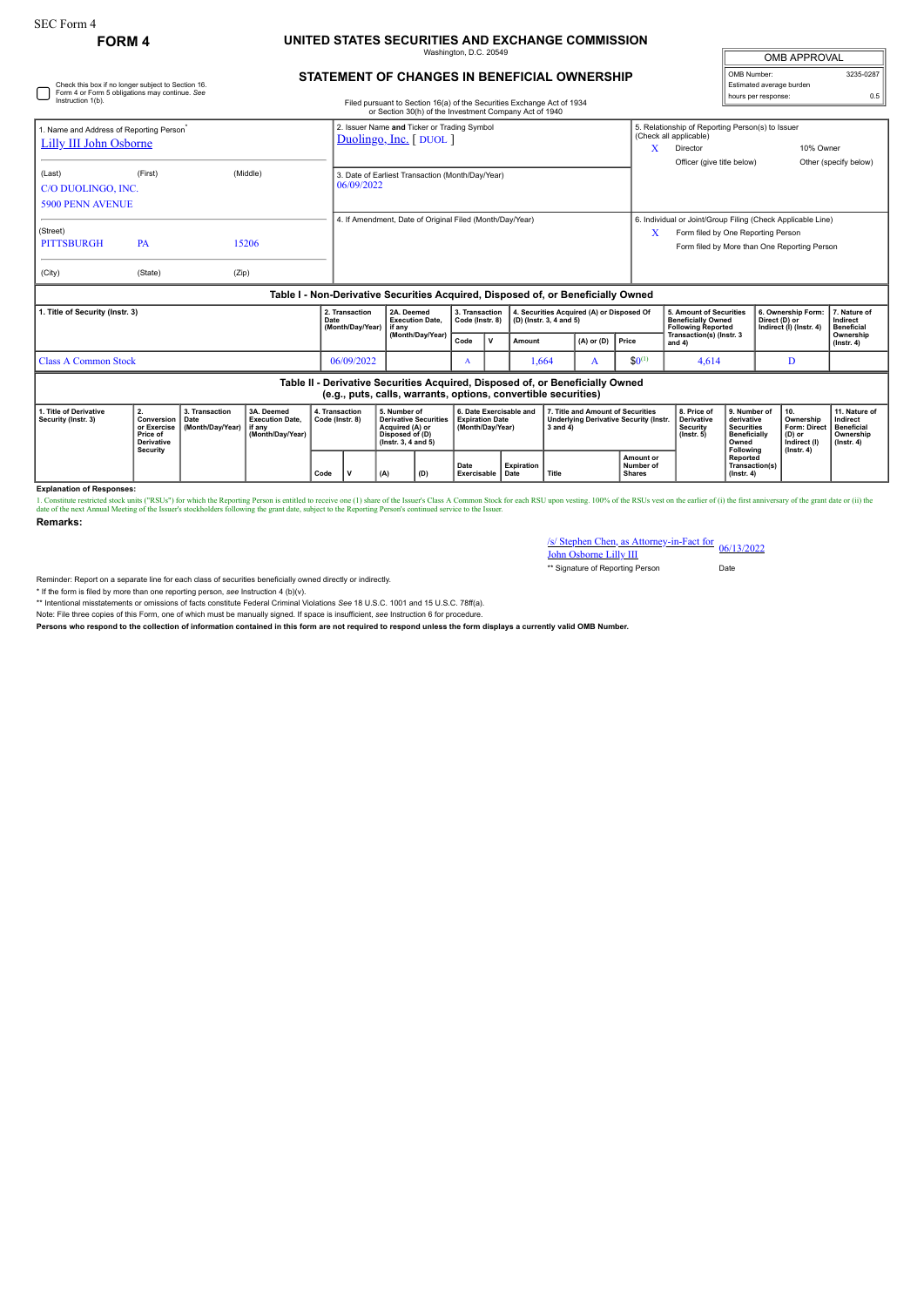## SEC Form 4

Check this box if no longer subject to Section 16. Form 4 or Form 5 obligations may continue. *See*

## **FORM 4 UNITED STATES SECURITIES AND EXCHANGE COMMISSION** Washington, D.C. 20549

| <b>OMB APPROVAL</b>      |           |  |  |  |  |  |  |  |  |
|--------------------------|-----------|--|--|--|--|--|--|--|--|
| OMB Number:              | 3235-0287 |  |  |  |  |  |  |  |  |
| Estimated average burden |           |  |  |  |  |  |  |  |  |
| hours per response:      | ሰ 5       |  |  |  |  |  |  |  |  |

| STATEMENT OF CHANGES IN BENEFICIAL OWNERSHIP |  |  |  |
|----------------------------------------------|--|--|--|

| Instruction 1(b).                                                                                                                                                                                   |                                            |                                   |                                                                                  |                                                                                                                 |                                                                      |                                                                                                           | Filed pursuant to Section 16(a) of the Securities Exchange Act of 1934<br>or Section 30(h) of the Investment Company Act of 1940 |                                                                                                    |                                                                                   |                                         |                                                                        |                                                                                 |                                                                                                     |                                                                          | noaro por rooponoa |                                                                                                             |  |
|-----------------------------------------------------------------------------------------------------------------------------------------------------------------------------------------------------|--------------------------------------------|-----------------------------------|----------------------------------------------------------------------------------|-----------------------------------------------------------------------------------------------------------------|----------------------------------------------------------------------|-----------------------------------------------------------------------------------------------------------|----------------------------------------------------------------------------------------------------------------------------------|----------------------------------------------------------------------------------------------------|-----------------------------------------------------------------------------------|-----------------------------------------|------------------------------------------------------------------------|---------------------------------------------------------------------------------|-----------------------------------------------------------------------------------------------------|--------------------------------------------------------------------------|--------------------|-------------------------------------------------------------------------------------------------------------|--|
| 1. Name and Address of Reporting Person <sup>®</sup><br><b>Lilly III John Osborne</b>                                                                                                               |                                            |                                   |                                                                                  |                                                                                                                 | 2. Issuer Name and Ticker or Trading Symbol<br>Duolingo, Inc. [DUOL] |                                                                                                           |                                                                                                                                  |                                                                                                    |                                                                                   |                                         |                                                                        | x                                                                               | 5. Relationship of Reporting Person(s) to Issuer<br>(Check all applicable)<br>10% Owner<br>Director |                                                                          |                    |                                                                                                             |  |
| (Last)<br>C/O DUOLINGO, INC.<br><b>5900 PENN AVENUE</b>                                                                                                                                             | (First)                                    |                                   | (Middle)                                                                         |                                                                                                                 | 3. Date of Earliest Transaction (Month/Day/Year)<br>06/09/2022       |                                                                                                           |                                                                                                                                  |                                                                                                    |                                                                                   |                                         |                                                                        | Officer (give title below)<br>Other (specify below)                             |                                                                                                     |                                                                          |                    |                                                                                                             |  |
| (Street)<br><b>PITTSBURGH</b><br>(City)                                                                                                                                                             | PA<br>(State)                              | (Zip)                             | 15206                                                                            |                                                                                                                 |                                                                      |                                                                                                           | 4. If Amendment, Date of Original Filed (Month/Day/Year)                                                                         |                                                                                                    |                                                                                   |                                         |                                                                        |                                                                                 | X                                                                                                   | Form filed by One Reporting Person                                       |                    | 6. Individual or Joint/Group Filing (Check Applicable Line)<br>Form filed by More than One Reporting Person |  |
|                                                                                                                                                                                                     |                                            |                                   | Table I - Non-Derivative Securities Acquired, Disposed of, or Beneficially Owned |                                                                                                                 |                                                                      |                                                                                                           |                                                                                                                                  |                                                                                                    |                                                                                   |                                         |                                                                        |                                                                                 |                                                                                                     |                                                                          |                    |                                                                                                             |  |
| 1. Title of Security (Instr. 3)                                                                                                                                                                     |                                            |                                   | Date                                                                             | 2A. Deemed<br>2. Transaction<br><b>Execution Date.</b><br>(Month/Day/Year)<br>if anv                            |                                                                      | 3. Transaction<br>4. Securities Acquired (A) or Disposed Of<br>Code (Instr. 8)<br>(D) (Instr. 3, 4 and 5) |                                                                                                                                  |                                                                                                    | 5. Amount of Securities<br><b>Beneficially Owned</b><br><b>Following Reported</b> |                                         | 6. Ownership Form:<br>Direct (D) or<br>Indirect (I) (Instr. 4)         | 7. Nature of<br>Indirect<br><b>Beneficial</b>                                   |                                                                                                     |                                                                          |                    |                                                                                                             |  |
|                                                                                                                                                                                                     |                                            |                                   |                                                                                  |                                                                                                                 | (Month/Day/Year)<br>Code<br>v<br>Amount                              |                                                                                                           |                                                                                                                                  |                                                                                                    | $(A)$ or $(D)$                                                                    | Price                                   | Transaction(s) (Instr. 3<br>and 4)                                     |                                                                                 |                                                                                                     | Ownership<br>$($ Instr. 4 $)$                                            |                    |                                                                                                             |  |
| <b>Class A Common Stock</b>                                                                                                                                                                         |                                            |                                   |                                                                                  |                                                                                                                 | 06/09/2022                                                           | $$0^{(1)}$$<br>1,664<br>A<br>A                                                                            |                                                                                                                                  | 4,614                                                                                              | D                                                                                 |                                         |                                                                        |                                                                                 |                                                                                                     |                                                                          |                    |                                                                                                             |  |
|                                                                                                                                                                                                     |                                            |                                   |                                                                                  |                                                                                                                 |                                                                      |                                                                                                           | (e.g., puts, calls, warrants, options, convertible securities)                                                                   |                                                                                                    |                                                                                   |                                         |                                                                        | Table II - Derivative Securities Acquired, Disposed of, or Beneficially Owned   |                                                                                                     |                                                                          |                    |                                                                                                             |  |
| 3. Transaction<br>1. Title of Derivative<br>2.<br>3A. Deemed<br>Conversion<br>Security (Instr. 3)<br>Date<br>or Exercise<br>(Month/Dav/Year)<br>if anv<br>Price of<br><b>Derivative</b><br>Security | <b>Execution Date.</b><br>(Month/Dav/Year) | 4. Transaction<br>Code (Instr. 8) |                                                                                  | 5. Number of<br><b>Derivative Securities</b><br>Acquired (A) or<br>Disposed of (D)<br>$($ lnstr. 3, 4 and 5 $)$ |                                                                      | 6. Date Exercisable and<br><b>Expiration Date</b><br>(Month/Day/Year)                                     |                                                                                                                                  | 7. Title and Amount of Securities<br><b>Underlying Derivative Security (Instr.</b><br>$3$ and $4)$ |                                                                                   |                                         | 8. Price of<br><b>Derivative</b><br><b>Security</b><br>$($ lnstr. $5)$ | 9. Number of<br>derivative<br><b>Securities</b><br><b>Beneficially</b><br>Owned | 10.<br>Ownership<br>Form: Direct<br>(D) or<br>Indirect (I)<br>$($ Instr. 4 $)$                      | 11. Nature of<br>Indirect<br>Beneficial<br>Ownership<br>$($ lnstr. 4 $)$ |                    |                                                                                                             |  |
|                                                                                                                                                                                                     |                                            |                                   | Code                                                                             |                                                                                                                 | (A)<br>(D)                                                           |                                                                                                           | <b>Expiration</b><br>Date<br>Exercisable<br>Title<br>Date                                                                        |                                                                                                    |                                                                                   | Amount or<br>Number of<br><b>Shares</b> |                                                                        | Following<br>Reported<br>Transaction(s)<br>$($ lnstr, 4 $)$                     |                                                                                                     |                                                                          |                    |                                                                                                             |  |

**Explanation of Responses:**

1. Constitute restricted stock units ("RSUs") for which the Reporting Person is entitled to receive one (1) share of the 1suer's Class A Common Stock for each RSU upon vesting. 100% of the RSUs vest on the earlier of (i) t **Remarks:**

/s/ Stephen Chen, as Attorney-in-Fact for John Osborne Lilly III 06/13/2022

\*\* Signature of Reporting Person Date

Reminder: Report on a separate line for each class of securities beneficially owned directly or indirectly.

\* If the form is filed by more than one reporting person, *see* Instruction 4 (b)(v).

\*\* Intentional misstatements or omissions of facts constitute Federal Criminal Violations *See* 18 U.S.C. 1001 and 15 U.S.C. 78ff(a).

Note: File three copies of this Form, one of which must be manually signed. If space is insufficient, *see* Instruction 6 for procedure.

**Persons who respond to the collection of information contained in this form are not required to respond unless the form displays a currently valid OMB Number.**